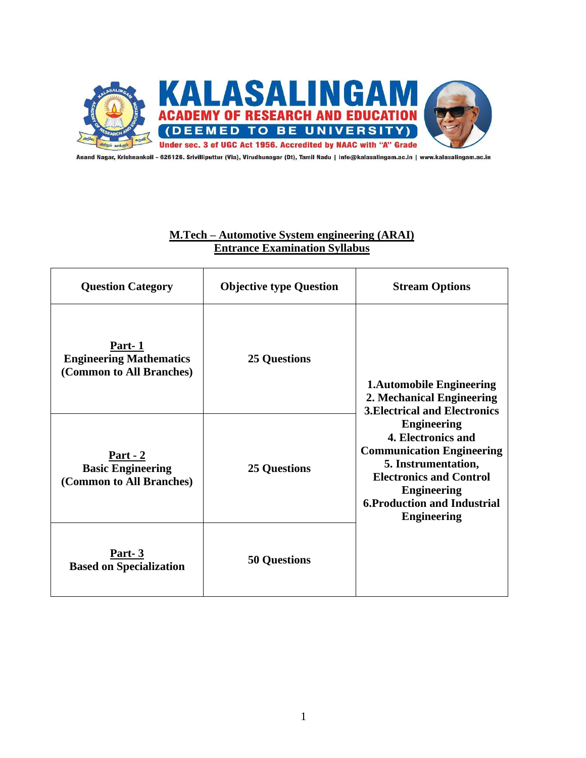

Anand Nagar, Krishnankoil - 626126. Srivilliputtur (Via), Virudhunagar (Dt), Tamil Nadu | info@kalasalingam.ac.in | www.kalasalingam.ac.in

# **M.Tech – Automotive System engineering (ARAI) Entrance Examination Syllabus**

| <b>Question Category</b>                                                | <b>Objective type Question</b> | <b>Stream Options</b>                                                                                                                                                                                                                                                                                                            |
|-------------------------------------------------------------------------|--------------------------------|----------------------------------------------------------------------------------------------------------------------------------------------------------------------------------------------------------------------------------------------------------------------------------------------------------------------------------|
| Part-1<br><b>Engineering Mathematics</b><br>(Common to All Branches)    | <b>25 Questions</b>            | <b>1.Automobile Engineering</b><br>2. Mechanical Engineering<br><b>3. Electrical and Electronics</b><br><b>Engineering</b><br>4. Electronics and<br><b>Communication Engineering</b><br>5. Instrumentation,<br><b>Electronics and Control</b><br><b>Engineering</b><br><b>6. Production and Industrial</b><br><b>Engineering</b> |
| <u>Part - 2</u><br><b>Basic Engineering</b><br>(Common to All Branches) | <b>25 Questions</b>            |                                                                                                                                                                                                                                                                                                                                  |
| Part-3<br><b>Based on Specialization</b>                                | <b>50 Questions</b>            |                                                                                                                                                                                                                                                                                                                                  |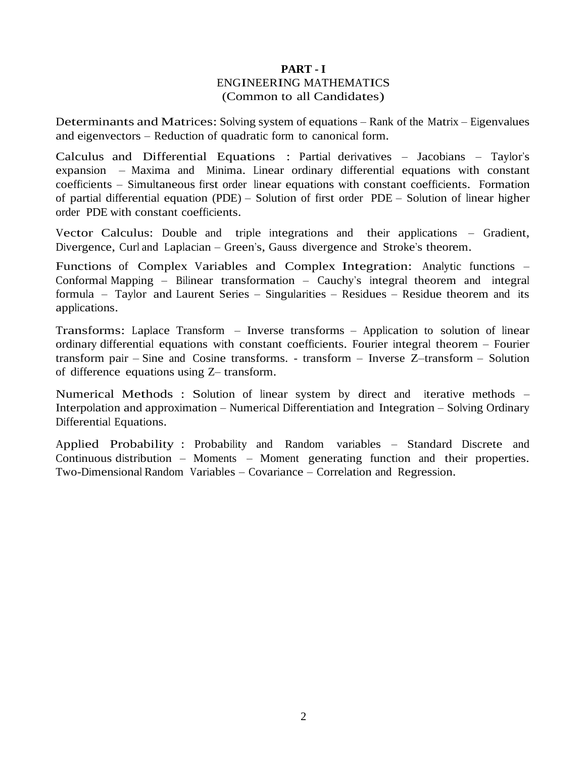# **PART - I** ENGINEERING MATHEMATICS (Common to all Candidates)

Determinants and Matrices: Solving system of equations – Rank of the Matrix – Eigenvalues and eigenvectors – Reduction of quadratic form to canonical form.

Calculus and Differential Equations : Partial derivatives – Jacobians – Taylor's expansion – Maxima and Minima. Linear ordinary differential equations with constant coefficients – Simultaneous first order linear equations with constant coefficients. Formation of partial differential equation (PDE) – Solution of first order PDE – Solution of linear higher order PDE with constant coefficients.

Vector Calculus: Double and triple integrations and their applications – Gradient, Divergence, Curl and Laplacian – Green's, Gauss divergence and Stroke's theorem.

Functions of Complex Variables and Complex Integration: Analytic functions – Conformal Mapping – Bilinear transformation – Cauchy's integral theorem and integral formula – Taylor and Laurent Series – Singularities – Residues – Residue theorem and its applications.

Transforms: Laplace Transform – Inverse transforms – Application to solution of linear ordinary differential equations with constant coefficients. Fourier integral theorem – Fourier transform pair – Sine and Cosine transforms. - transform – Inverse Z–transform – Solution of difference equations using Z– transform.

Numerical Methods : Solution of linear system by direct and iterative methods – Interpolation and approximation – Numerical Differentiation and Integration – Solving Ordinary Differential Equations.

Applied Probability : Probability and Random variables – Standard Discrete and Continuous distribution – Moments – Moment generating function and their properties. Two-Dimensional Random Variables – Covariance – Correlation and Regression.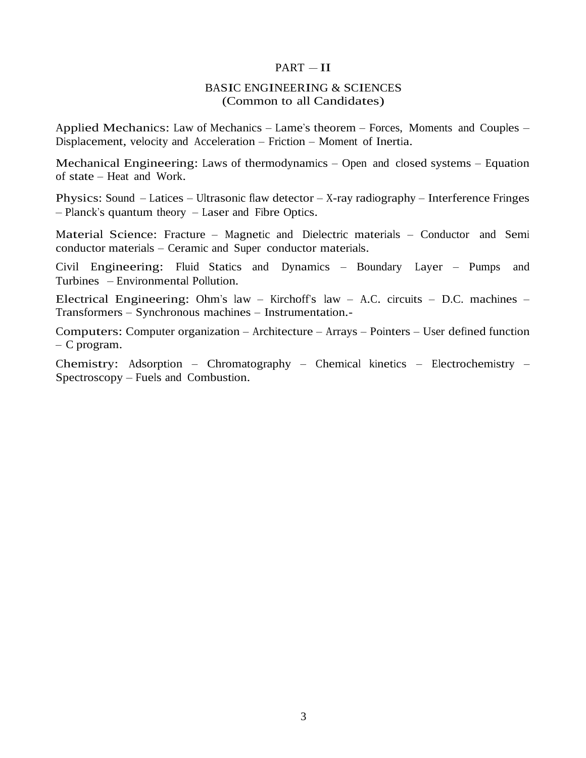#### $PART - II$

# BASIC ENGINEERING & SCIENCES (Common to all Candidates)

Applied Mechanics: Law of Mechanics – Lame's theorem – Forces, Moments and Couples – Displacement, velocity and Acceleration – Friction – Moment of Inertia.

Mechanical Engineering: Laws of thermodynamics – Open and closed systems – Equation of state – Heat and Work.

Physics: Sound – Latices – Ultrasonic flaw detector – X-ray radiography – Interference Fringes – Planck's quantum theory – Laser and Fibre Optics.

Material Science: Fracture – Magnetic and Dielectric materials – Conductor and Semi conductor materials – Ceramic and Super conductor materials.

Civil Engineering: Fluid Statics and Dynamics – Boundary Layer – Pumps and Turbines – Environmental Pollution.

Electrical Engineering: Ohm's law – Kirchoff's law – A.C. circuits – D.C. machines – Transformers – Synchronous machines – Instrumentation.-

Computers: Computer organization – Architecture – Arrays – Pointers – User defined function – C program.

Chemistry: Adsorption – Chromatography – Chemical kinetics – Electrochemistry – Spectroscopy – Fuels and Combustion.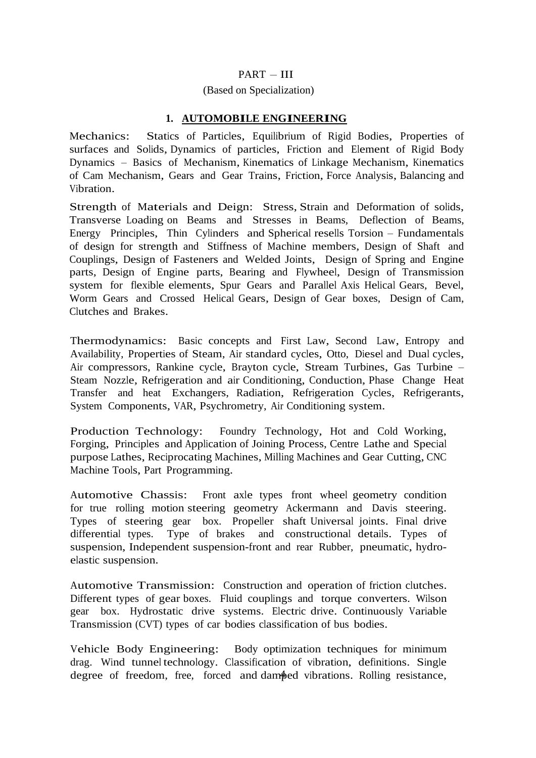# PART – III

# (Based on Specialization)

# **1. AUTOMOBILE ENGINEERING**

Mechanics: Statics of Particles, Equilibrium of Rigid Bodies, Properties of surfaces and Solids, Dynamics of particles, Friction and Element of Rigid Body Dynamics – Basics of Mechanism, Kinematics of Linkage Mechanism, Kinematics of Cam Mechanism, Gears and Gear Trains, Friction, Force Analysis, Balancing and Vibration.

Strength of Materials and Deign: Stress, Strain and Deformation of solids, Transverse Loading on Beams and Stresses in Beams, Deflection of Beams, Energy Principles, Thin Cylinders and Spherical resells Torsion – Fundamentals of design for strength and Stiffness of Machine members, Design of Shaft and Couplings, Design of Fasteners and Welded Joints, Design of Spring and Engine parts, Design of Engine parts, Bearing and Flywheel, Design of Transmission system for flexible elements, Spur Gears and Parallel Axis Helical Gears, Bevel, Worm Gears and Crossed Helical Gears, Design of Gear boxes, Design of Cam, Clutches and Brakes.

Thermodynamics: Basic concepts and First Law, Second Law, Entropy and Availability, Properties of Steam, Air standard cycles, Otto, Diesel and Dual cycles, Air compressors, Rankine cycle, Brayton cycle, Stream Turbines, Gas Turbine – Steam Nozzle, Refrigeration and air Conditioning, Conduction, Phase Change Heat Transfer and heat Exchangers, Radiation, Refrigeration Cycles, Refrigerants, System Components, VAR, Psychrometry, Air Conditioning system.

Production Technology: Foundry Technology, Hot and Cold Working, Forging, Principles and Application of Joining Process, Centre Lathe and Special purpose Lathes, Reciprocating Machines, Milling Machines and Gear Cutting, CNC Machine Tools, Part Programming.

Automotive Chassis: Front axle types front wheel geometry condition for true rolling motion steering geometry Ackermann and Davis steering. Types of steering gear box. Propeller shaft Universal joints. Final drive differential types. Type of brakes and constructional details. Types of suspension, Independent suspension-front and rear Rubber, pneumatic, hydroelastic suspension.

Automotive Transmission: Construction and operation of friction clutches. Different types of gear boxes. Fluid couplings and torque converters. Wilson gear box. Hydrostatic drive systems. Electric drive. Continuously Variable Transmission (CVT) types of car bodies classification of bus bodies.

degree of freedom, free, forced and damped vibrations. Rolling resistance, Vehicle Body Engineering: Body optimization techniques for minimum drag. Wind tunnel technology. Classification of vibration, definitions. Single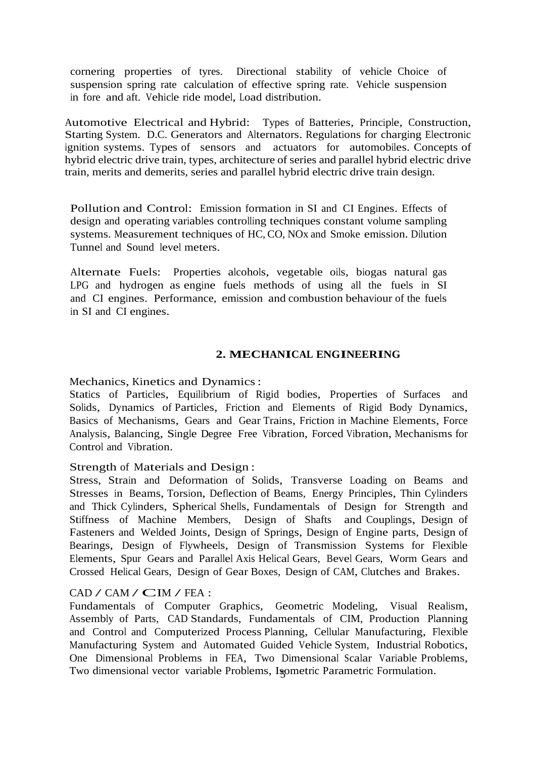cornering properties of tyres. Directional stability of vehicle Choice of suspension spring rate calculation of effective spring rate. Vehicle suspension in fore and aft. Vehicle ride model, Load distribution.

Automotive Electrical and Hybrid: Types of Batteries, Principle, Construction, Starting System. D.C. Generators and Alternators. Regulations for charging Electronic ignition systems. Types of sensors and actuators for automobiles. Concepts of hybrid electric drive train, types, architecture of series and parallel hybrid electric drive train, merits and demerits, series and parallel hybrid electric drive train design.

Pollution and Control: Emission formation in SI and CI Engines. Effects of design and operating variables controlling techniques constant volume sampling systems. Measurement techniques of HC, CO, NO<sub>x</sub> and Smoke emission. Dilution Tunnel and Sound level meters.

Alternate Fuels: Properties alcohols, vegetable oils, biogas natural gas LPG and hydrogen as engine fuels methods of using all the fuels in SI and CI engines. Performance, emission and combustion behaviour of the fuels in SI and CI engines.

# **2. MECHANICAL ENGINEERING**

Mechanics, Kinetics and Dynamics:

Statics of Particles, Equilibrium of Rigid bodies, Properties of Surfaces and Solids, Dynamics of Particles, Friction and Elements of Rigid Body Dynamics, Basics of Mechanisms, Gears and Gear Trains, Friction in Machine Elements, Force Analysis, Balancing, Single Degree Free Vibration, Forced Vibration, Mechanisms for Control and Vibration.

### Strength of Materials and Design :

Stress, Strain and Deformation of Solids, Transverse Loading on Beams and Stresses in Beams, Torsion, Deflection of Beams, Energy Principles, Thin Cylinders and Thick Cylinders, Spherical Shells, Fundamentals of Design for Strength and Stiffness of Machine Members, Design of Shafts and Couplings, Design of Fasteners and Welded Joints, Design of Springs, Design of Engine parts, Design of Bearings, Design of Flywheels, Design of Transmission Systems for Flexible Elements, Spur Gears and Parallel Axis Helical Gears, Bevel Gears, Worm Gears and Crossed Helical Gears, Design of Gear Boxes, Design of CAM, Clutches and Brakes.

#### $CAD / CAM / CIM / FEA$ :

Two dimensional vector variable Problems, Isometric Parametric Formulation. Fundamentals of Computer Graphics, Geometric Modeling, Visual Realism, Assembly of Parts, CAD Standards, Fundamentals of CIM, Production Planning and Control and Computerized Process Planning, Cellular Manufacturing, Flexible Manufacturing System and Automated Guided Vehicle System, Industrial Robotics, One Dimensional Problems in FEA, Two Dimensional Scalar Variable Problems,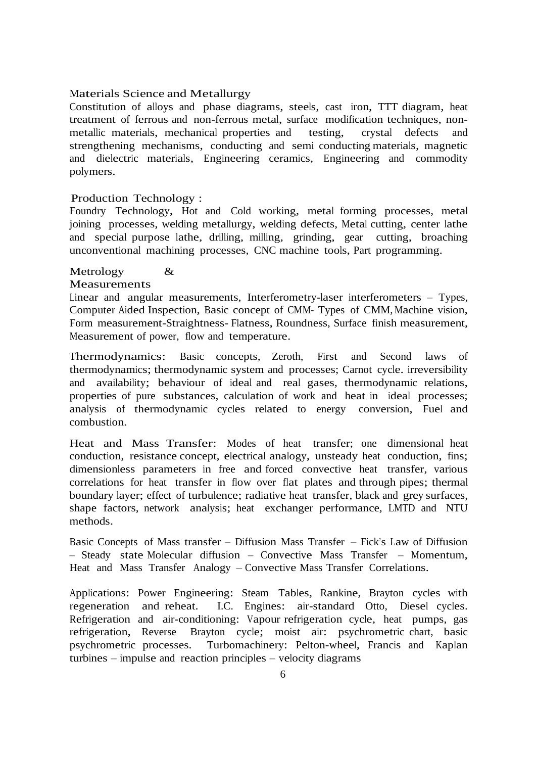### Materials Science and Metallurgy

Constitution of alloys and phase diagrams, steels, cast iron, TTT diagram, heat treatment of ferrous and non-ferrous metal, surface modification techniques, nonmetallic materials, mechanical properties and testing, crystal defects and strengthening mechanisms, conducting and semi conducting materials, magnetic and dielectric materials, Engineering ceramics, Engineering and commodity polymers.

#### Production Technology :

Foundry Technology, Hot and Cold working, metal forming processes, metal joining processes, welding metallurgy, welding defects, Metal cutting, center lathe and special purpose lathe, drilling, milling, grinding, gear cutting, broaching unconventional machining processes, CNC machine tools, Part programming.

#### Metrology &

#### Measurements

Linear and angular measurements, Interferometry-laser interferometers – Types, Computer Aided Inspection, Basic concept of CMM- Types of CMM, Machine vision, Form measurement-Straightness- Flatness, Roundness, Surface finish measurement, Measurement of power, flow and temperature.

Thermodynamics: Basic concepts, Zeroth, First and Second laws of thermodynamics; thermodynamic system and processes; Carnot cycle. irreversibility and availability; behaviour of ideal and real gases, thermodynamic relations, properties of pure substances, calculation of work and heat in ideal processes; analysis of thermodynamic cycles related to energy conversion, Fuel and combustion.

Heat and Mass Transfer: Modes of heat transfer; one dimensional heat conduction, resistance concept, electrical analogy, unsteady heat conduction, fins; dimensionless parameters in free and forced convective heat transfer, various correlations for heat transfer in flow over flat plates and through pipes; thermal boundary layer; effect of turbulence; radiative heat transfer, black and grey surfaces, shape factors, network analysis; heat exchanger performance, LMTD and NTU methods.

Basic Concepts of Mass transfer – Diffusion Mass Transfer – Fick's Law of Diffusion – Steady state Molecular diffusion – Convective Mass Transfer – Momentum, Heat and Mass Transfer Analogy – Convective Mass Transfer Correlations.

Applications: Power Engineering: Steam Tables, Rankine, Brayton cycles with regeneration and reheat. I.C. Engines: air-standard Otto, Diesel cycles. Refrigeration and air-conditioning: Vapour refrigeration cycle, heat pumps, gas refrigeration, Reverse Brayton cycle; moist air: psychrometric chart, basic psychrometric processes. Turbomachinery: Pelton-wheel, Francis and Kaplan turbines – impulse and reaction principles – velocity diagrams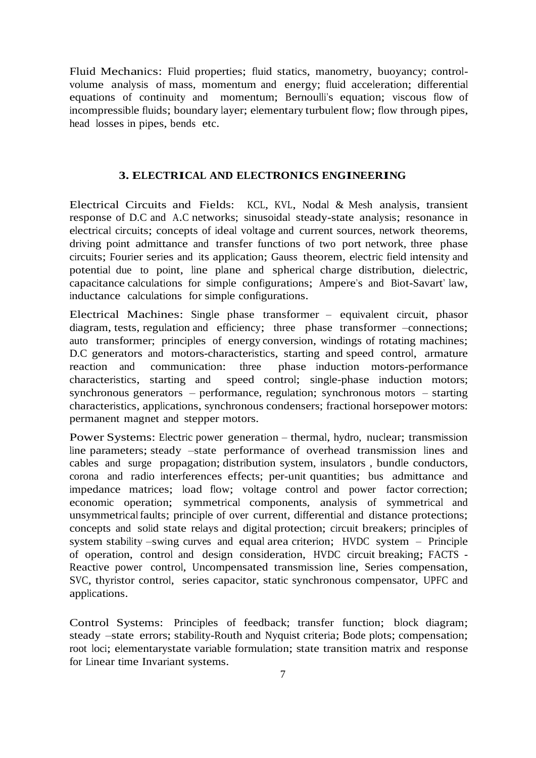Fluid Mechanics: Fluid properties; fluid statics, manometry, buoyancy; controlvolume analysis of mass, momentum and energy; fluid acceleration; differential equations of continuity and momentum; Bernoulli's equation; viscous flow of incompressible fluids; boundary layer; elementary turbulent flow; flow through pipes, head losses in pipes, bends etc.

### **3. ELECTRICAL AND ELECTRONICS ENGINEERING**

Electrical Circuits and Fields: KCL, KVL, Nodal & Mesh analysis, transient response of D.C and A.C networks; sinusoidal steady-state analysis; resonance in electrical circuits; concepts of ideal voltage and current sources, network theorems, driving point admittance and transfer functions of two port network, three phase circuits; Fourier series and its application; Gauss theorem, electric field intensity and potential due to point, line plane and spherical charge distribution, dielectric, capacitance calculations for simple configurations; Ampere's and Biot-Savart' law, inductance calculations for simple configurations.

Electrical Machines: Single phase transformer – equivalent circuit, phasor diagram, tests, regulation and efficiency; three phase transformer –connections; auto transformer; principles of energy conversion, windings of rotating machines; D.C generators and motors-characteristics, starting and speed control, armature reaction and communication: three phase induction motors-performance characteristics, starting and speed control; single-phase induction motors; synchronous generators – performance, regulation; synchronous motors – starting characteristics, applications, synchronous condensers; fractional horsepower motors: permanent magnet and stepper motors.

Power Systems: Electric power generation – thermal, hydro, nuclear; transmission line parameters; steady –state performance of overhead transmission lines and cables and surge propagation; distribution system, insulators , bundle conductors, corona and radio interferences effects; per-unit quantities; bus admittance and impedance matrices; load flow; voltage control and power factor correction; economic operation; symmetrical components, analysis of symmetrical and unsymmetrical faults; principle of over current, differential and distance protections; concepts and solid state relays and digital protection; circuit breakers; principles of system stability –swing curves and equal area criterion; HVDC system – Principle of operation, control and design consideration, HVDC circuit breaking; FACTS - Reactive power control, Uncompensated transmission line, Series compensation, SVC, thyristor control, series capacitor, static synchronous compensator, UPFC and applications.

Control Systems: Principles of feedback; transfer function; block diagram; steady –state errors; stability-Routh and Nyquist criteria; Bode plots; compensation; root loci; elementarystate variable formulation; state transition matrix and response for Linear time Invariant systems.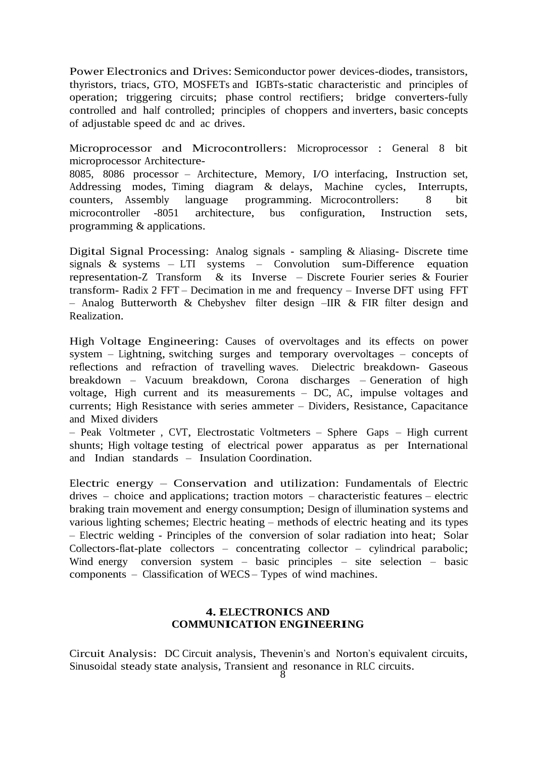Power Electronics and Drives: Semiconductor power devices-diodes, transistors, thyristors, triacs, GTO, MOSFETs and IGBTs-static characteristic and principles of operation; triggering circuits; phase control rectifiers; bridge converters-fully controlled and half controlled; principles of choppers and inverters, basic concepts of adjustable speed dc and ac drives.

Microprocessor and Microcontrollers: Microprocessor : General <sup>8</sup> bit microprocessor Architecture-

8085, 8086 processor – Architecture, Memory, I/O interfacing, Instruction set, Addressing modes, Timing diagram & delays, Machine cycles, Interrupts, counters, Assembly language programming. Microcontrollers: 8 bit microcontroller -8051 architecture, bus configuration, Instruction sets, programming & applications.

Digital Signal Processing: Analog signals - sampling & Aliasing- Discrete time signals & systems – LTI systems – Convolution sum-Difference equation representation-Z Transform & its Inverse – Discrete Fourier series & Fourier transform- Radix 2 FFT – Decimation in me and frequency – Inverse DFT using FFT – Analog Butterworth & Chebyshev filter design –IIR & FIR filter design and Realization.

High Voltage Engineering: Causes of overvoltages and its effects on power system – Lightning, switching surges and temporary overvoltages – concepts of reflections and refraction of travelling waves. Dielectric breakdown- Gaseous breakdown – Vacuum breakdown, Corona discharges – Generation of high voltage, High current and its measurements – DC, AC, impulse voltages and currents; High Resistance with series ammeter – Dividers, Resistance, Capacitance and Mixed dividers

– Peak Voltmeter , CVT, Electrostatic Voltmeters – Sphere Gaps – High current shunts; High voltage testing of electrical power apparatus as per International and Indian standards – Insulation Coordination.

Electric energy – Conservation and utilization: Fundamentals of Electric drives – choice and applications; traction motors – characteristic features – electric braking train movement and energy consumption; Design of illumination systems and various lighting schemes; Electric heating – methods of electric heating and its types – Electric welding - Principles of the conversion of solar radiation into heat; Solar Collectors-flat-plate collectors – concentrating collector – cylindrical parabolic; Wind energy conversion system – basic principles – site selection – basic components – Classification of WECS – Types of wind machines.

# **4. ELECTRONICS AND COMMUNICATION ENGINEERING**

Circuit Analysis: DC Circuit analysis, Thevenin's and Norton's equivalent circuits, Sinusoidal steady state analysis, Transient and resonance in RLC circuits.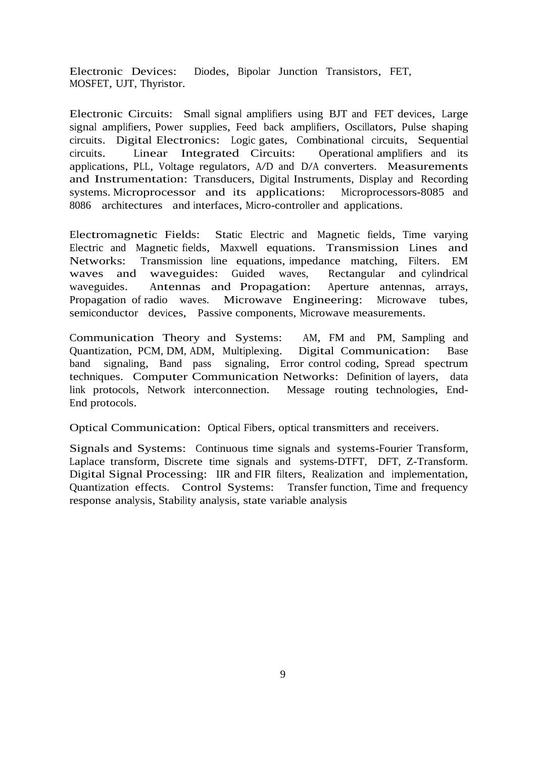Electronic Devices: Diodes, Bipolar Junction Transistors, FET, MOSFET, UJT, Thyristor.

Electronic Circuits: Small signal amplifiers using BJT and FET devices, Large signal amplifiers, Power supplies, Feed back amplifiers, Oscillators, Pulse shaping circuits. Digital Electronics: Logic gates, Combinational circuits, Sequential circuits. Linear Integrated Circuits: Operational amplifiers and its applications, PLL, Voltage regulators, A/D and D/A converters. Measurements and Instrumentation: Transducers, Digital Instruments, Display and Recording systems. Microprocessor and its applications: Microprocessors-8085 and 8086 architectures and interfaces, Micro-controller and applications.

Electromagnetic Fields: Static Electric and Magnetic fields, Time varying Electric and Magnetic fields, Maxwell equations. Transmission Lines and Networks: Transmission line equations, impedance matching, Filters. EM waves and waveguides: Guided waves, Rectangular and cylindrical waveguides. Antennas and Propagation: Aperture antennas, arrays, Propagation of radio waves. Microwave Engineering: Microwave tubes, semiconductor devices, Passive components, Microwave measurements.

Communication Theory and Systems: AM, FM and PM, Sampling and Quantization, PCM, DM, ADM, Multiplexing. Digital Communication: Base band signaling, Band pass signaling, Error control coding, Spread spectrum techniques. Computer Communication Networks: Definition of layers, data link protocols, Network interconnection. Message routing technologies, End-End protocols.

Optical Communication: Optical Fibers, optical transmitters and receivers.

Signals and Systems: Continuous time signals and systems-Fourier Transform, Laplace transform, Discrete time signals and systems-DTFT, DFT, Z-Transform. Digital Signal Processing: IIR and FIR filters, Realization and implementation, Quantization effects. Control Systems: Transfer function, Time and frequency response analysis, Stability analysis, state variable analysis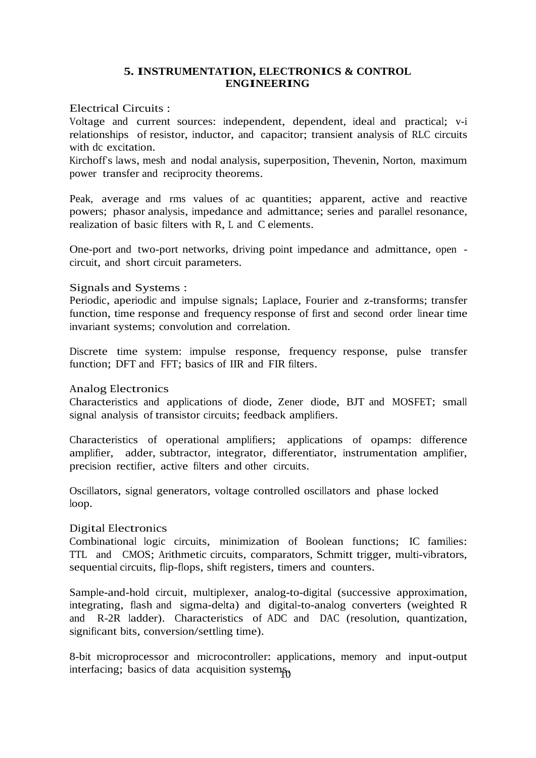# **5. INSTRUMENTATION, ELECTRONICS & CONTROL ENGINEERING**

# Electrical Circuits :

Voltage and current sources: independent, dependent, ideal and practical; v-i relationships of resistor, inductor, and capacitor; transient analysis of RLC circuits with dc excitation.

Kirchoff's laws, mesh and nodal analysis, superposition, Thevenin, Norton, maximum power transfer and reciprocity theorems.

Peak, average and rms values of ac quantities; apparent, active and reactive powers; phasor analysis, impedance and admittance; series and parallel resonance, realization of basic filters with R, L and C elements.

One-port and two-port networks, driving point impedance and admittance, open circuit, and short circuit parameters.

# Signals and Systems :

Periodic, aperiodic and impulse signals; Laplace, Fourier and z-transforms; transfer function, time response and frequency response of first and second order linear time invariant systems; convolution and correlation.

Discrete time system: impulse response, frequency response, pulse transfer function; DFT and FFT; basics of IIR and FIR filters.

# Analog Electronics

Characteristics and applications of diode, Zener diode, BJT and MOSFET; small signal analysis of transistor circuits; feedback amplifiers.

Characteristics of operational amplifiers; applications of opamps: difference amplifier, adder, subtractor, integrator, differentiator, instrumentation amplifier, precision rectifier, active filters and other circuits.

Oscillators, signal generators, voltage controlled oscillators and phase locked loop.

# Digital Electronics

Combinational logic circuits, minimization of Boolean functions; IC families: TTL and CMOS; Arithmetic circuits, comparators, Schmitt trigger, multi-vibrators, sequential circuits, flip-flops, shift registers, timers and counters.

Sample-and-hold circuit, multiplexer, analog-to-digital (successive approximation, integrating, flash and sigma-delta) and digital-to-analog converters (weighted R and R-2R ladder). Characteristics of ADC and DAC (resolution, quantization, significant bits, conversion/settling time).

interfacing; basics of data acquisition systems 8-bit microprocessor and microcontroller: applications, memory and input-output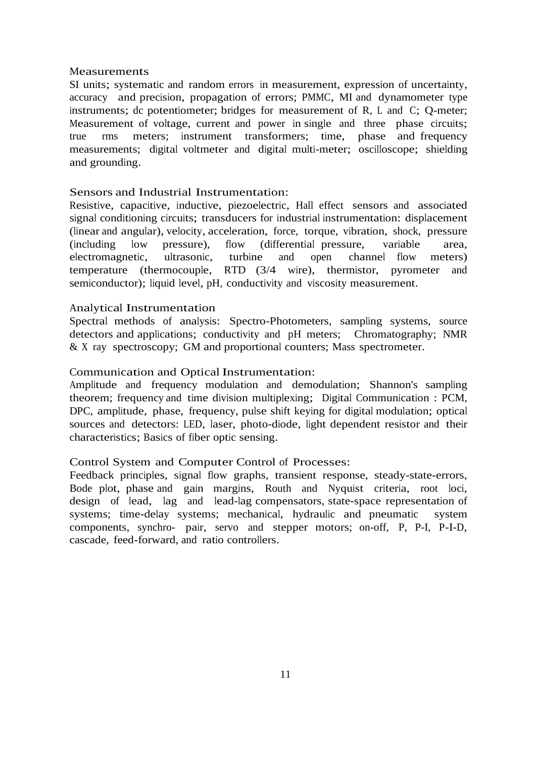#### Measurements

SI units; systematic and random errors in measurement, expression of uncertainty, accuracy and precision, propagation of errors; PMMC, MI and dynamometer type instruments; dc potentiometer; bridges for measurement of R, L and C; Q-meter; Measurement of voltage, current and power in single and three phase circuits; true rms meters; instrument transformers; time, phase and frequency measurements; digital voltmeter and digital multi-meter; oscilloscope; shielding and grounding.

#### Sensors and Industrial Instrumentation:

Resistive, capacitive, inductive, piezoelectric, Hall effect sensors and associated signal conditioning circuits; transducers for industrial instrumentation: displacement (linear and angular), velocity, acceleration, force, torque, vibration, shock, pressure (including low pressure), flow (differential pressure, variable area, electromagnetic, ultrasonic, turbine and open channel flow meters) temperature (thermocouple, RTD (3/4 wire), thermistor, pyrometer and semiconductor); liquid level, pH, conductivity and viscosity measurement.

#### Analytical Instrumentation

Spectral methods of analysis: Spectro-Photometers, sampling systems, source detectors and applications; conductivity and pH meters; Chromatography; NMR & X ray spectroscopy; GM and proportional counters; Mass spectrometer.

#### Communication and Optical Instrumentation:

Amplitude and frequency modulation and demodulation; Shannon's sampling theorem; frequency and time division multiplexing; Digital Communication : PCM, DPC, amplitude, phase, frequency, pulse shift keying for digital modulation; optical sources and detectors: LED, laser, photo-diode, light dependent resistor and their characteristics; Basics of fiber optic sensing.

# Control System and Computer Control of Processes:

Feedback principles, signal flow graphs, transient response, steady-state-errors, Bode plot, phase and gain margins, Routh and Nyquist criteria, root loci, design of lead, lag and lead-lag compensators, state-space representation of systems; time-delay systems; mechanical, hydraulic and pneumatic system components, synchro- pair, servo and stepper motors; on-off, P, P-I, P-I-D, cascade, feed-forward, and ratio controllers.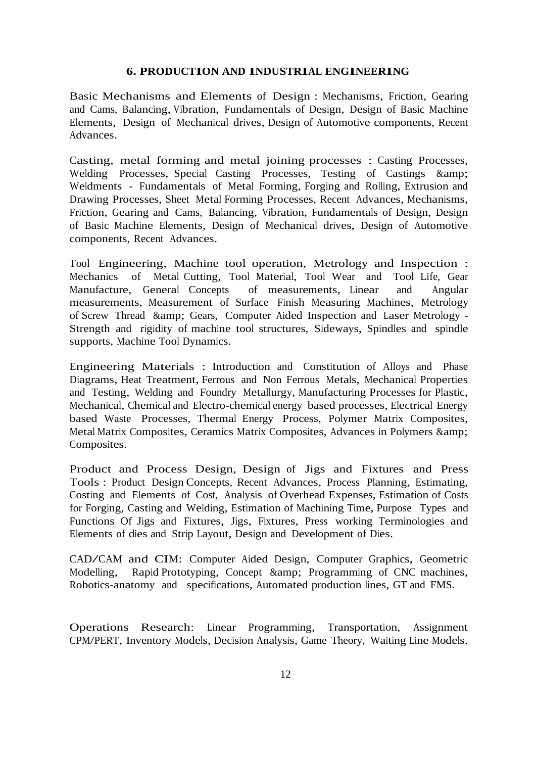### **6. PRODUCTION AND INDUSTRIAL ENGINEERING**

Basic Mechanisms and Elements of Design : Mechanisms, Friction, Gearing and Cams, Balancing, Vibration, Fundamentals of Design, Design of Basic Machine Elements, Design of Mechanical drives, Design of Automotive components, Recent Advances.

Casting, metal forming and metal joining processes : Casting Processes, Welding Processes, Special Casting Processes, Testing of Castings & amp; Weldments - Fundamentals of Metal Forming, Forging and Rolling, Extrusion and Drawing Processes, Sheet Metal Forming Processes, Recent Advances, Mechanisms, Friction, Gearing and Cams, Balancing, Vibration, Fundamentals of Design, Design of Basic Machine Elements, Design of Mechanical drives, Design of Automotive components, Recent Advances.

Tool Engineering, Machine tool operation, Metrology and Inspection : Mechanics of Metal Cutting, Tool Material, Tool Wear and Tool Life, Gear Manufacture, General Concepts of measurements, Linear and Angular measurements, Measurement of Surface Finish Measuring Machines, Metrology of Screw Thread & Gears, Computer Aided Inspection and Laser Metrology - Strength and rigidity of machine tool structures, Sideways, Spindles and spindle supports, Machine Tool Dynamics.

Engineering Materials : Introduction and Constitution of Alloys and Phase Diagrams, Heat Treatment, Ferrous and Non Ferrous Metals, Mechanical Properties and Testing, Welding and Foundry Metallurgy, Manufacturing Processes for Plastic, Mechanical, Chemical and Electro-chemical energy based processes, Electrical Energy based Waste Processes, Thermal Energy Process, Polymer Matrix Composites, Metal Matrix Composites, Ceramics Matrix Composites, Advances in Polymers & Composites.

Product and Process Design, Design of Jigs and Fixtures and Press Tools : Product Design Concepts, Recent Advances, Process Planning, Estimating, Costing and Elements of Cost, Analysis of Overhead Expenses, Estimation of Costs for Forging, Casting and Welding, Estimation of Machining Time, Purpose Types and Functions Of Jigs and Fixtures, Jigs, Fixtures, Press working Terminologies and Elements of dies and Strip Layout, Design and Development of Dies.

CAD/CAM and CIM: Computer Aided Design, Computer Graphics, Geometric Modelling, Rapid Prototyping, Concept & amp; Programming of CNC machines, Robotics-anatomy and specifications, Automated production lines, GT and FMS.

Operations Research: Linear Programming, Transportation, Assignment CPM/PERT, Inventory Models, Decision Analysis, Game Theory, Waiting Line Models.